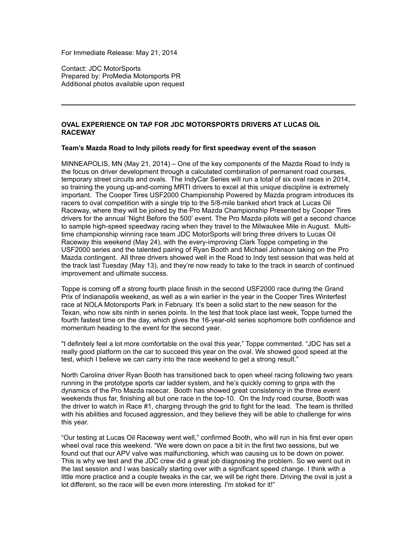For Immediate Release: May 21, 2014

Contact: JDC MotorSports Prepared by: ProMedia Motorsports PR Additional photos available upon request

# **OVAL EXPERIENCE ON TAP FOR JDC MOTORSPORTS DRIVERS AT LUCAS OIL RACEWAY**

## **Team's Mazda Road to Indy pilots ready for first speedway event of the season**

MINNEAPOLIS, MN (May 21, 2014) – One of the key components of the Mazda Road to Indy is the focus on driver development through a calculated combination of permanent road courses, temporary street circuits and ovals. The IndyCar Series will run a total of six oval races in 2014, so training the young up-and-coming MRTI drivers to excel at this unique discipline is extremely important. The Cooper Tires USF2000 Championship Powered by Mazda program introduces its racers to oval competition with a single trip to the 5/8-mile banked short track at Lucas Oil Raceway, where they will be joined by the Pro Mazda Championship Presented by Cooper Tires drivers for the annual 'Night Before the 500' event. The Pro Mazda pilots will get a second chance to sample high-speed speedway racing when they travel to the Milwaukee Mile in August. Multitime championship winning race team JDC MotorSports will bring three drivers to Lucas Oil Raceway this weekend (May 24), with the every-improving Clark Toppe competing in the USF2000 series and the talented pairing of Ryan Booth and Michael Johnson taking on the Pro Mazda contingent. All three drivers showed well in the Road to Indy test session that was held at the track last Tuesday (May 13), and they're now ready to take to the track in search of continued improvement and ultimate success.

Toppe is coming off a strong fourth place finish in the second USF2000 race during the Grand Prix of Indianapolis weekend, as well as a win earlier in the year in the Cooper Tires Winterfest race at NOLA Motorsports Park in February. It's been a solid start to the new season for the Texan, who now sits ninth in series points. In the test that took place last week, Toppe turned the fourth fastest time on the day, which gives the 16-year-old series sophomore both confidence and momentum heading to the event for the second year.

"I definitely feel a lot more comfortable on the oval this year," Toppe commented. "JDC has set a really good platform on the car to succeed this year on the oval. We showed good speed at the test, which I believe we can carry into the race weekend to get a strong result."

North Carolina driver Ryan Booth has transitioned back to open wheel racing following two years running in the prototype sports car ladder system, and he's quickly coming to grips with the dynamics of the Pro Mazda racecar. Booth has showed great consistency in the three event weekends thus far, finishing all but one race in the top-10. On the Indy road course, Booth was the driver to watch in Race #1, charging through the grid to fight for the lead. The team is thrilled with his abilities and focused aggression, and they believe they will be able to challenge for wins this year.

"Our testing at Lucas Oil Raceway went well," confirmed Booth, who will run in his first ever open wheel oval race this weekend. "We were down on pace a bit in the first two sessions, but we found out that our APV valve was malfunctioning, which was causing us to be down on power. This is why we test and the JDC crew did a great job diagnosing the problem. So we went out in the last session and I was basically starting over with a significant speed change. I think with a little more practice and a couple tweaks in the car, we will be right there. Driving the oval is just a lot different, so the race will be even more interesting. I'm stoked for it!"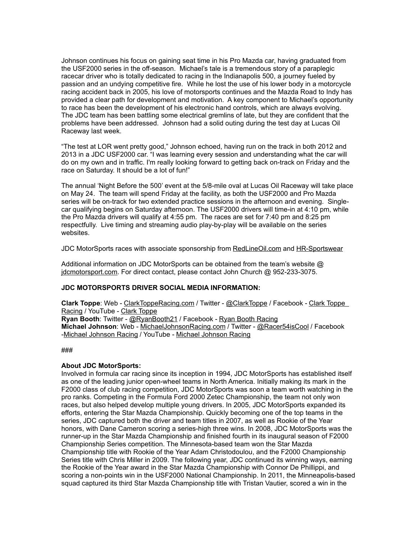Johnson continues his focus on gaining seat time in his Pro Mazda car, having graduated from the USF2000 series in the off-season. Michael's tale is a tremendous story of a paraplegic racecar driver who is totally dedicated to racing in the Indianapolis 500, a journey fueled by passion and an undying competitive fire. While he lost the use of his lower body in a motorcycle racing accident back in 2005, his love of motorsports continues and the Mazda Road to Indy has provided a clear path for development and motivation. A key component to Michael's opportunity to race has been the development of his electronic hand controls, which are always evolving. The JDC team has been battling some electrical gremlins of late, but they are confident that the problems have been addressed. Johnson had a solid outing during the test day at Lucas Oil Raceway last week.

"The test at LOR went pretty good," Johnson echoed, having run on the track in both 2012 and 2013 in a JDC USF2000 car. "I was learning every session and understanding what the car will do on my own and in traffic. I'm really looking forward to getting back on-track on Friday and the race on Saturday. It should be a lot of fun!"

The annual 'Night Before the 500' event at the 5/8-mile oval at Lucas Oil Raceway will take place on May 24. The team will spend Friday at the facility, as both the USF2000 and Pro Mazda series will be on-track for two extended practice sessions in the afternoon and evening. Singlecar qualifying begins on Saturday afternoon. The USF2000 drivers will time-in at 4:10 pm, while the Pro Mazda drivers will qualify at 4:55 pm. The races are set for 7:40 pm and 8:25 pm respectfully. Live timing and streaming audio play-by-play will be available on the series websites.

JDC MotorSports races with associate sponsorship from [RedLineOil.com](http://www.redlineoil.com/) and [HR-Sportswear](http://www.hr-sportswear.com/)

Additional information on JDC MotorSports can be obtained from the team's website @ [jdcmotorsport.com.](http://www.jdcmotorsport.com/) For direct contact, please contact John Church @ 952-233-3075.

## **JDC MOTORSPORTS DRIVER SOCIAL MEDIA INFORMATION:**

**Clark Toppe**: Web - [ClarkToppeRacing.com](http://www.clarktopperacing.com/) / Twitter - [@ClarkToppe](https://twitter.com/clarktoppe) / Facebook - [Clark Toppe](http://www.facebook.com/pages/Clark-Toppe-Motorsports/277287018975906)  [Racing](http://www.facebook.com/pages/Clark-Toppe-Motorsports/277287018975906) / YouTube - [Clark Toppe](http://www.youtube.com/user/Mrgokart1) **Ryan Booth**: Twitter - [@RyanBooth21](https://twitter.com/RyanBooth21) / Facebook - [Ryan Booth Racing](https://www.facebook.com/ryanboothracing) **Michael Johnson**: Web - [MichaelJohnsonRacing.com](http://michaeljohnsonracing.com/) / Twitter - [@Racer54isCool](https://twitter.com/#!/racer54iscool) / Facebook [-Michael Johnson Racing](http://www.facebook.com/pages/Michael-Johnson-Racing/192057070822066) / YouTube - [Michael Johnson Racing](http://www.youtube.com/user/racing56789?feature=watch)

###

## **About JDC MotorSports:**

Involved in formula car racing since its inception in 1994, JDC MotorSports has established itself as one of the leading junior open-wheel teams in North America. Initially making its mark in the F2000 class of club racing competition, JDC MotorSports was soon a team worth watching in the pro ranks. Competing in the Formula Ford 2000 Zetec Championship, the team not only won races, but also helped develop multiple young drivers. In 2005, JDC MotorSports expanded its efforts, entering the Star Mazda Championship. Quickly becoming one of the top teams in the series, JDC captured both the driver and team titles in 2007, as well as Rookie of the Year honors, with Dane Cameron scoring a series-high three wins. In 2008, JDC MotorSports was the runner-up in the Star Mazda Championship and finished fourth in its inaugural season of F2000 Championship Series competition. The Minnesota-based team won the Star Mazda Championship title with Rookie of the Year Adam Christodoulou, and the F2000 Championship Series title with Chris Miller in 2009. The following year, JDC continued its winning ways, earning the Rookie of the Year award in the Star Mazda Championship with Connor De Phillippi, and scoring a non-points win in the USF2000 National Championship. In 2011, the Minneapolis-based squad captured its third Star Mazda Championship title with Tristan Vautier, scored a win in the